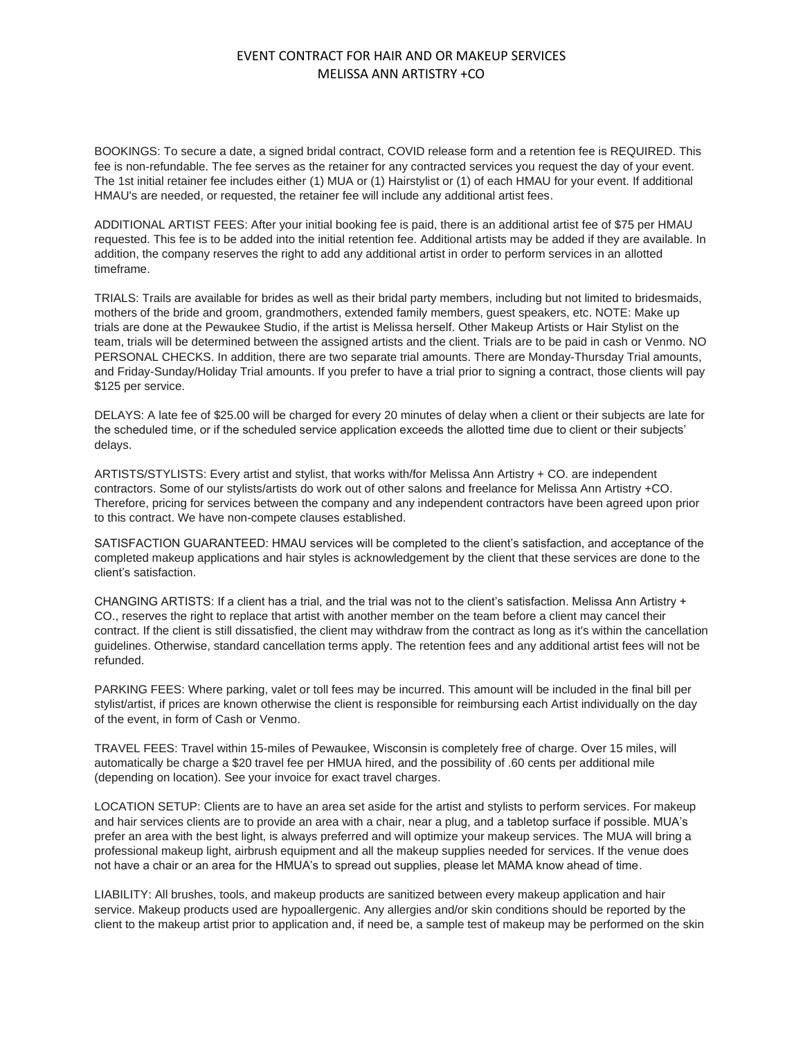## EVENT CONTRACT FOR HAIR AND OR MAKEUP SERVICES MELISSA ANN ARTISTRY +CO

BOOKINGS: To secure a date, a signed bridal contract, COVID release form and a retention fee is REQUIRED. This fee is non-refundable. The fee serves as the retainer for any contracted services you request the day of your event. The 1st initial retainer fee includes either (1) MUA or (1) Hairstylist or (1) of each HMAU for your event. If additional HMAU's are needed, or requested, the retainer fee will include any additional artist fees.

ADDITIONAL ARTIST FEES: After your initial booking fee is paid, there is an additional artist fee of \$75 per HMAU requested. This fee is to be added into the initial retention fee. Additional artists may be added if they are available. In addition, the company reserves the right to add any additional artist in order to perform services in an allotted timeframe.

TRIALS: Trails are available for brides as well as their bridal party members, including but not limited to bridesmaids, mothers of the bride and groom, grandmothers, extended family members, guest speakers, etc. NOTE: Make up trials are done at the Pewaukee Studio, if the artist is Melissa herself. Other Makeup Artists or Hair Stylist on the team, trials will be determined between the assigned artists and the client. Trials are to be paid in cash or Venmo. NO PERSONAL CHECKS. In addition, there are two separate trial amounts. There are Monday-Thursday Trial amounts, and Friday-Sunday/Holiday Trial amounts. If you prefer to have a trial prior to signing a contract, those clients will pay \$125 per service.

DELAYS: A late fee of \$25.00 will be charged for every 20 minutes of delay when a client or their subjects are late for the scheduled time, or if the scheduled service application exceeds the allotted time due to client or their subjects' delays.

ARTISTS/STYLISTS: Every artist and stylist, that works with/for Melissa Ann Artistry + CO. are independent contractors. Some of our stylists/artists do work out of other salons and freelance for Melissa Ann Artistry +CO. Therefore, pricing for services between the company and any independent contractors have been agreed upon prior to this contract. We have non-compete clauses established.

SATISFACTION GUARANTEED: HMAU services will be completed to the client's satisfaction, and acceptance of the completed makeup applications and hair styles is acknowledgement by the client that these services are done to the client's satisfaction.

CHANGING ARTISTS: If a client has a trial, and the trial was not to the client's satisfaction. Melissa Ann Artistry + CO., reserves the right to replace that artist with another member on the team before a client may cancel their contract. If the client is still dissatisfied, the client may withdraw from the contract as long as it's within the cancellation guidelines. Otherwise, standard cancellation terms apply. The retention fees and any additional artist fees will not be refunded.

PARKING FEES: Where parking, valet or toll fees may be incurred. This amount will be included in the final bill per stylist/artist, if prices are known otherwise the client is responsible for reimbursing each Artist individually on the day of the event, in form of Cash or Venmo.

TRAVEL FEES: Travel within 15-miles of Pewaukee, Wisconsin is completely free of charge. Over 15 miles, will automatically be charge a \$20 travel fee per HMUA hired, and the possibility of .60 cents per additional mile (depending on location). See your invoice for exact travel charges.

LOCATION SETUP: Clients are to have an area set aside for the artist and stylists to perform services. For makeup and hair services clients are to provide an area with a chair, near a plug, and a tabletop surface if possible. MUA's prefer an area with the best light, is always preferred and will optimize your makeup services. The MUA will bring a professional makeup light, airbrush equipment and all the makeup supplies needed for services. If the venue does not have a chair or an area for the HMUA's to spread out supplies, please let MAMA know ahead of time.

LIABILITY: All brushes, tools, and makeup products are sanitized between every makeup application and hair service. Makeup products used are hypoallergenic. Any allergies and/or skin conditions should be reported by the client to the makeup artist prior to application and, if need be, a sample test of makeup may be performed on the skin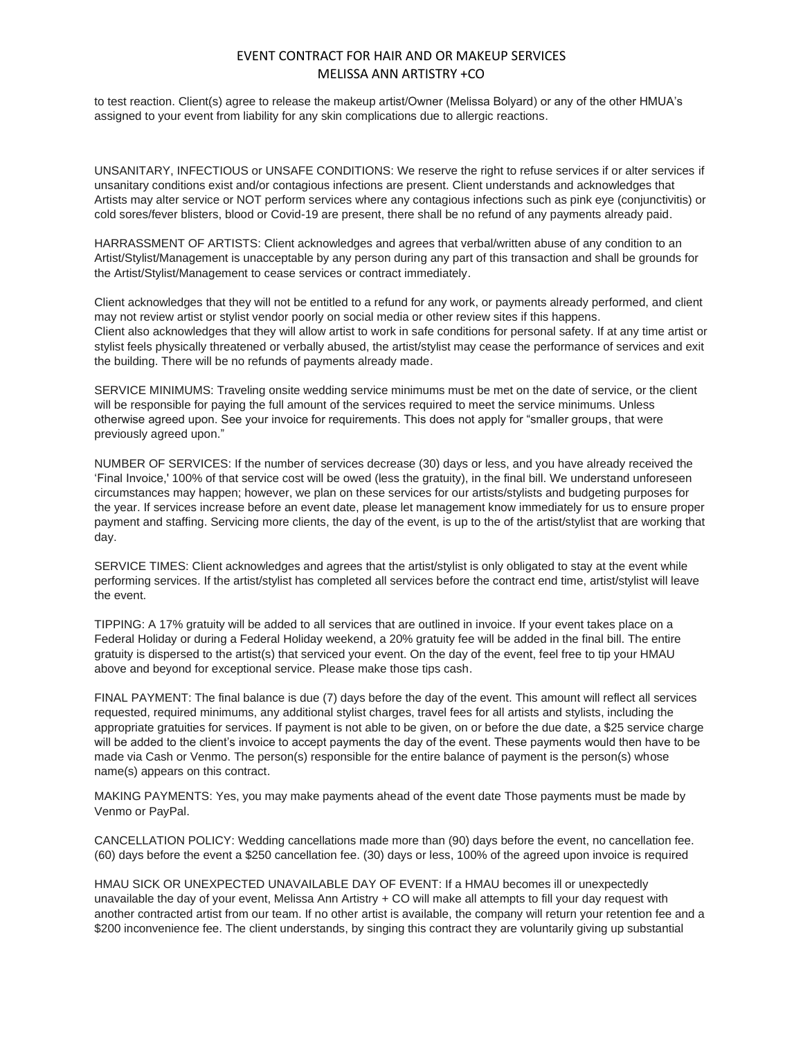## EVENT CONTRACT FOR HAIR AND OR MAKEUP SERVICES MELISSA ANN ARTISTRY +CO

to test reaction. Client(s) agree to release the makeup artist/Owner (Melissa Bolyard) or any of the other HMUA's assigned to your event from liability for any skin complications due to allergic reactions.

UNSANITARY, INFECTIOUS or UNSAFE CONDITIONS: We reserve the right to refuse services if or alter services if unsanitary conditions exist and/or contagious infections are present. Client understands and acknowledges that Artists may alter service or NOT perform services where any contagious infections such as pink eye (conjunctivitis) or cold sores/fever blisters, blood or Covid-19 are present, there shall be no refund of any payments already paid.

HARRASSMENT OF ARTISTS: Client acknowledges and agrees that verbal/written abuse of any condition to an Artist/Stylist/Management is unacceptable by any person during any part of this transaction and shall be grounds for the Artist/Stylist/Management to cease services or contract immediately.

Client acknowledges that they will not be entitled to a refund for any work, or payments already performed, and client may not review artist or stylist vendor poorly on social media or other review sites if this happens. Client also acknowledges that they will allow artist to work in safe conditions for personal safety. If at any time artist or stylist feels physically threatened or verbally abused, the artist/stylist may cease the performance of services and exit the building. There will be no refunds of payments already made.

SERVICE MINIMUMS: Traveling onsite wedding service minimums must be met on the date of service, or the client will be responsible for paying the full amount of the services required to meet the service minimums. Unless otherwise agreed upon. See your invoice for requirements. This does not apply for "smaller groups, that were previously agreed upon."

NUMBER OF SERVICES: If the number of services decrease (30) days or less, and you have already received the 'Final Invoice,' 100% of that service cost will be owed (less the gratuity), in the final bill. We understand unforeseen circumstances may happen; however, we plan on these services for our artists/stylists and budgeting purposes for the year. If services increase before an event date, please let management know immediately for us to ensure proper payment and staffing. Servicing more clients, the day of the event, is up to the of the artist/stylist that are working that day.

SERVICE TIMES: Client acknowledges and agrees that the artist/stylist is only obligated to stay at the event while performing services. If the artist/stylist has completed all services before the contract end time, artist/stylist will leave the event.

TIPPING: A 17% gratuity will be added to all services that are outlined in invoice. If your event takes place on a Federal Holiday or during a Federal Holiday weekend, a 20% gratuity fee will be added in the final bill. The entire gratuity is dispersed to the artist(s) that serviced your event. On the day of the event, feel free to tip your HMAU above and beyond for exceptional service. Please make those tips cash.

FINAL PAYMENT: The final balance is due (7) days before the day of the event. This amount will reflect all services requested, required minimums, any additional stylist charges, travel fees for all artists and stylists, including the appropriate gratuities for services. If payment is not able to be given, on or before the due date, a \$25 service charge will be added to the client's invoice to accept payments the day of the event. These payments would then have to be made via Cash or Venmo. The person(s) responsible for the entire balance of payment is the person(s) whose name(s) appears on this contract.

MAKING PAYMENTS: Yes, you may make payments ahead of the event date Those payments must be made by Venmo or PayPal.

CANCELLATION POLICY: Wedding cancellations made more than (90) days before the event, no cancellation fee. (60) days before the event a \$250 cancellation fee. (30) days or less, 100% of the agreed upon invoice is required

HMAU SICK OR UNEXPECTED UNAVAILABLE DAY OF EVENT: If a HMAU becomes ill or unexpectedly unavailable the day of your event, Melissa Ann Artistry + CO will make all attempts to fill your day request with another contracted artist from our team. If no other artist is available, the company will return your retention fee and a \$200 inconvenience fee. The client understands, by singing this contract they are voluntarily giving up substantial